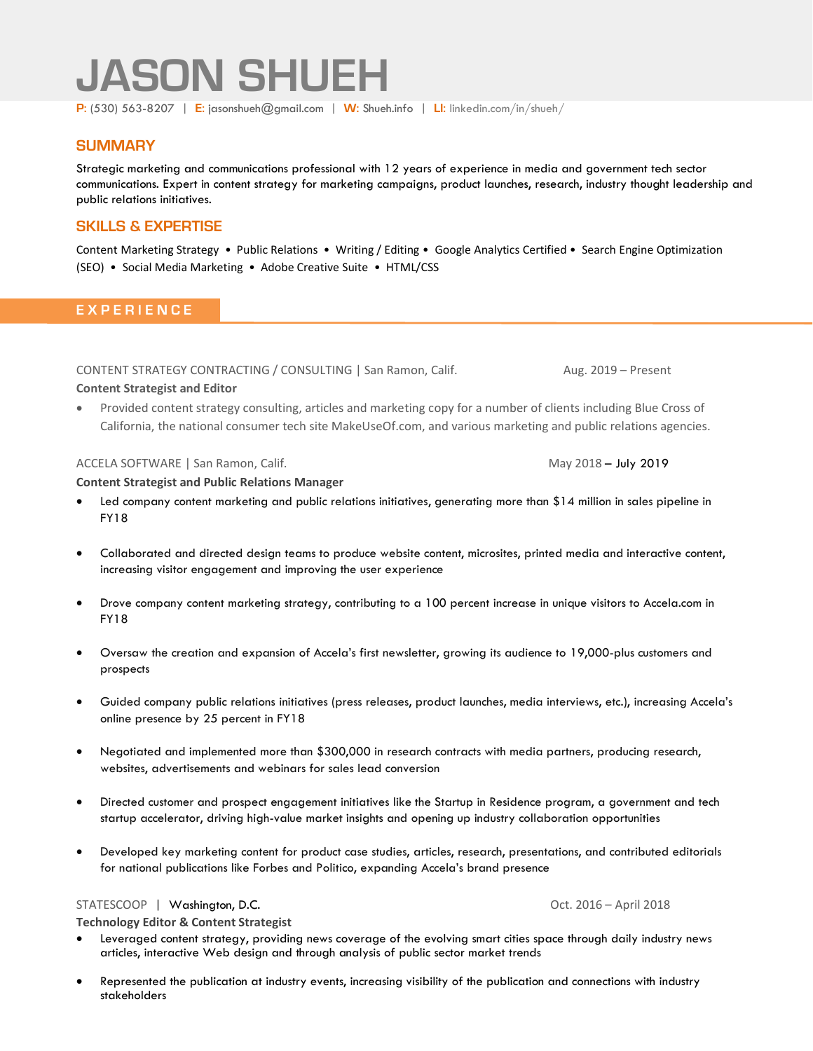# **JASON SHUEH**

**P:** (530) 563-8207 | **E:** jasonshueh@gmail.com | **W:** [Shueh.info](http://shueh.info/) | **LI:** [linkedin.com/in/shueh/](http://www.linkedin.com/in/shueh/)

## **SUMMARY**

Strategic marketing and communications professional with 12 years of experience in media and government tech sector communications. Expert in content strategy for marketing campaigns, product launches, research, industry thought leadership and public relations initiatives.

# **SKILLS & EXPERTISE**

Content Marketing Strategy • Public Relations • Writing / Editing • Google Analytics Certified • Search Engine Optimization (SEO) • Social Media Marketing • Adobe Creative Suite • HTML/CSS

# **E X P E R I E N C E**

CONTENT STRATEGY CONTRACTING / CONSULTING | San Ramon, Calif. Aug. 2019 – Present

#### **Content Strategist and Editor**

• Provided content strategy consulting, articles and marketing copy for a number of clients including Blue Cross of California, the national consumer tech site MakeUseOf.com, and various marketing and public relations agencies.

#### ACCELA SOFTWARE | San Ramon, Calif. May 2018 – July 2019 May 2018 – July 2019

**Content Strategist and Public Relations Manager**

- Led company content marketing and public relations initiatives, generating more than \$14 million in sales pipeline in FY18
- Collaborated and directed design teams to produce website content, microsites, printed media and interactive content, increasing visitor engagement and improving the user experience
- Drove company content marketing strategy, contributing to a 100 percent increase in unique visitors to Accela.com in FY18
- Oversaw the creation and expansion of Accela's first newsletter, growing its audience to 19,000-plus customers and prospects
- Guided company public relations initiatives (press releases, product launches, media interviews, etc.), increasing Accela's online presence by 25 percent in FY18
- Negotiated and implemented more than \$300,000 in research contracts with media partners, producing research, websites, advertisements and webinars for sales lead conversion
- Directed customer and prospect engagement initiatives like the Startup in Residence program, a government and tech startup accelerator, driving high-value market insights and opening up industry collaboration opportunities
- Developed key marketing content for product case studies, articles, research, presentations, and contributed editorials for national publications like Forbes and Politico, expanding Accela's brand presence

# STATESCOOP | Washington, D.C. **Camera Communist Communist Communist Communist Communist Communist Communist Communist Communist Communist Communist Communist Communist Communist Communist Communist Communist Communist Comm**

**Technology Editor & Content Strategist**

- Leveraged content strategy, providing news coverage of the evolving smart cities space through daily industry news articles, interactive Web design and through analysis of public sector market trends
- Represented the publication at industry events, increasing visibility of the publication and connections with industry stakeholders